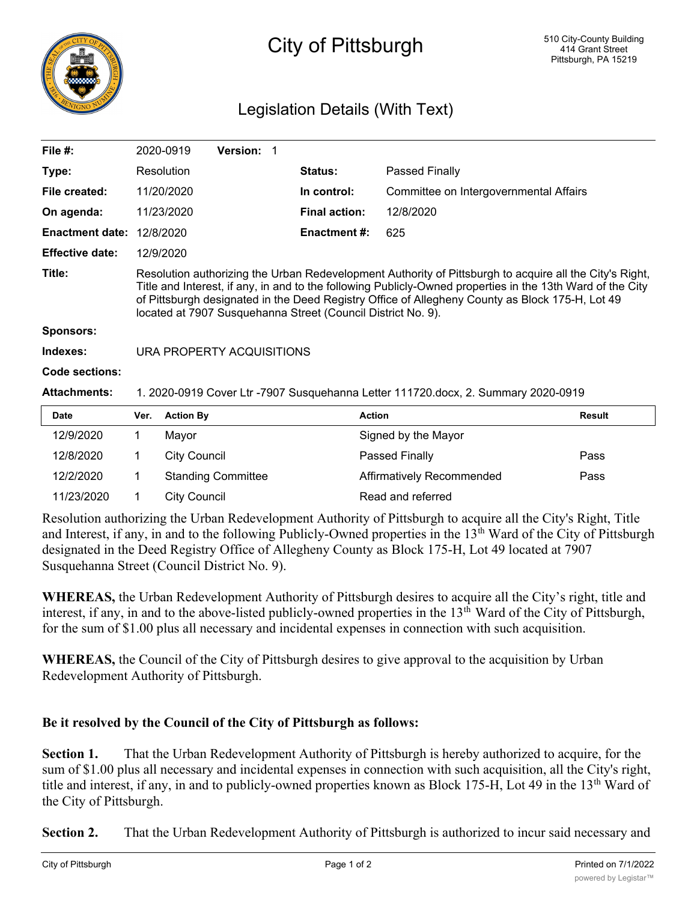

## City of Pittsburgh

## Legislation Details (With Text)

| File $#$ :             | 2020-0919                                                                                                                                                                                                                                                                                                                                                                                | <b>Version:</b> |  |                      |                                        |  |
|------------------------|------------------------------------------------------------------------------------------------------------------------------------------------------------------------------------------------------------------------------------------------------------------------------------------------------------------------------------------------------------------------------------------|-----------------|--|----------------------|----------------------------------------|--|
| Type:                  | Resolution                                                                                                                                                                                                                                                                                                                                                                               |                 |  | <b>Status:</b>       | Passed Finally                         |  |
| File created:          | 11/20/2020                                                                                                                                                                                                                                                                                                                                                                               |                 |  | In control:          | Committee on Intergovernmental Affairs |  |
| On agenda:             | 11/23/2020                                                                                                                                                                                                                                                                                                                                                                               |                 |  | <b>Final action:</b> | 12/8/2020                              |  |
| <b>Enactment date:</b> | 12/8/2020                                                                                                                                                                                                                                                                                                                                                                                |                 |  | <b>Enactment #:</b>  | 625                                    |  |
| <b>Effective date:</b> | 12/9/2020                                                                                                                                                                                                                                                                                                                                                                                |                 |  |                      |                                        |  |
| Title:                 | Resolution authorizing the Urban Redevelopment Authority of Pittsburgh to acquire all the City's Right,<br>Title and Interest, if any, in and to the following Publicly-Owned properties in the 13th Ward of the City<br>of Pittsburgh designated in the Deed Registry Office of Allegheny County as Block 175-H, Lot 49<br>located at 7907 Susquehanna Street (Council District No. 9). |                 |  |                      |                                        |  |
| <b>Sponsors:</b>       |                                                                                                                                                                                                                                                                                                                                                                                          |                 |  |                      |                                        |  |
| Indexes:               | URA PROPERTY ACQUISITIONS                                                                                                                                                                                                                                                                                                                                                                |                 |  |                      |                                        |  |
| Code sections:         |                                                                                                                                                                                                                                                                                                                                                                                          |                 |  |                      |                                        |  |
| <b>Attachments:</b>    | 1. 2020-0919 Cover Ltr -7907 Susquehanna Letter 111720.docx, 2. Summary 2020-0919                                                                                                                                                                                                                                                                                                        |                 |  |                      |                                        |  |
| <b>Date</b>            | <b>Action By</b><br>Ver.                                                                                                                                                                                                                                                                                                                                                                 |                 |  | <b>Action</b>        | <b>Result</b>                          |  |

| Ver. | <b>Action By</b>          | Action                    | Result |
|------|---------------------------|---------------------------|--------|
|      | Mavor                     | Signed by the Mayor       |        |
|      | City Council              | Passed Finally            | Pass   |
|      | <b>Standing Committee</b> | Affirmatively Recommended | Pass   |
|      | City Council              | Read and referred         |        |
|      |                           |                           |        |

Resolution authorizing the Urban Redevelopment Authority of Pittsburgh to acquire all the City's Right, Title and Interest, if any, in and to the following Publicly-Owned properties in the 13<sup>th</sup> Ward of the City of Pittsburgh designated in the Deed Registry Office of Allegheny County as Block 175-H, Lot 49 located at 7907 Susquehanna Street (Council District No. 9).

**WHEREAS,** the Urban Redevelopment Authority of Pittsburgh desires to acquire all the City's right, title and interest, if any, in and to the above-listed publicly-owned properties in the 13<sup>th</sup> Ward of the City of Pittsburgh, for the sum of \$1.00 plus all necessary and incidental expenses in connection with such acquisition.

**WHEREAS,** the Council of the City of Pittsburgh desires to give approval to the acquisition by Urban Redevelopment Authority of Pittsburgh.

## **Be it resolved by the Council of the City of Pittsburgh as follows:**

**Section 1.** That the Urban Redevelopment Authority of Pittsburgh is hereby authorized to acquire, for the sum of \$1.00 plus all necessary and incidental expenses in connection with such acquisition, all the City's right, title and interest, if any, in and to publicly-owned properties known as Block 175-H, Lot 49 in the 13<sup>th</sup> Ward of the City of Pittsburgh.

**Section 2.** That the Urban Redevelopment Authority of Pittsburgh is authorized to incur said necessary and